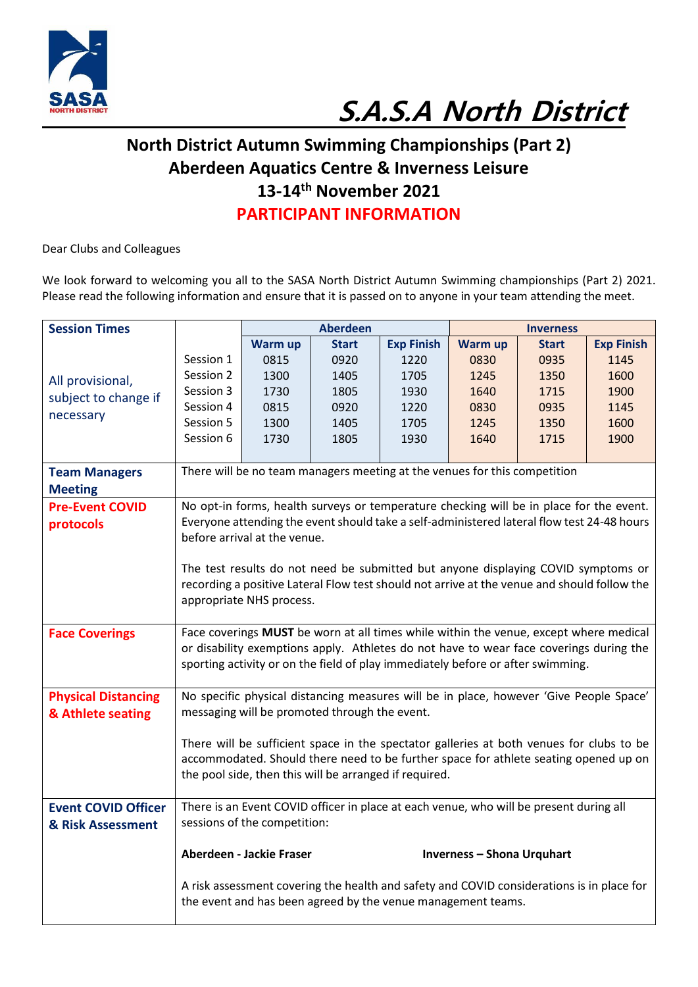

## **S.A.S.A North District**

## **North District Autumn Swimming Championships (Part 2) Aberdeen Aquatics Centre & Inverness Leisure 13-14th November 2021 PARTICIPANT INFORMATION**

Dear Clubs and Colleagues

We look forward to welcoming you all to the SASA North District Autumn Swimming championships (Part 2) 2021. Please read the following information and ensure that it is passed on to anyone in your team attending the meet.

| <b>Session Times</b>                     |                                                                                                                         | <b>Aberdeen</b> |              | <b>Inverness</b>                                                                           |         |              |                   |
|------------------------------------------|-------------------------------------------------------------------------------------------------------------------------|-----------------|--------------|--------------------------------------------------------------------------------------------|---------|--------------|-------------------|
|                                          |                                                                                                                         | Warm up         | <b>Start</b> | <b>Exp Finish</b>                                                                          | Warm up | <b>Start</b> | <b>Exp Finish</b> |
| All provisional,<br>subject to change if | Session 1                                                                                                               | 0815            | 0920         | 1220                                                                                       | 0830    | 0935         | 1145              |
|                                          | Session 2                                                                                                               | 1300            | 1405         | 1705                                                                                       | 1245    | 1350         | 1600              |
|                                          | Session 3                                                                                                               | 1730            | 1805         | 1930                                                                                       | 1640    | 1715         | 1900              |
| necessary                                | Session 4                                                                                                               | 0815            | 0920         | 1220                                                                                       | 0830    | 0935         | 1145              |
|                                          | Session 5                                                                                                               | 1300            | 1405         | 1705                                                                                       | 1245    | 1350         | 1600              |
|                                          | Session 6                                                                                                               | 1730            | 1805         | 1930                                                                                       | 1640    | 1715         | 1900              |
|                                          |                                                                                                                         |                 |              |                                                                                            |         |              |                   |
| <b>Team Managers</b>                     |                                                                                                                         |                 |              | There will be no team managers meeting at the venues for this competition                  |         |              |                   |
| <b>Meeting</b>                           | No opt-in forms, health surveys or temperature checking will be in place for the event.                                 |                 |              |                                                                                            |         |              |                   |
| <b>Pre-Event COVID</b>                   |                                                                                                                         |                 |              |                                                                                            |         |              |                   |
| protocols                                |                                                                                                                         |                 |              | Everyone attending the event should take a self-administered lateral flow test 24-48 hours |         |              |                   |
|                                          | before arrival at the venue.                                                                                            |                 |              |                                                                                            |         |              |                   |
|                                          |                                                                                                                         |                 |              |                                                                                            |         |              |                   |
|                                          | The test results do not need be submitted but anyone displaying COVID symptoms or                                       |                 |              |                                                                                            |         |              |                   |
|                                          | recording a positive Lateral Flow test should not arrive at the venue and should follow the<br>appropriate NHS process. |                 |              |                                                                                            |         |              |                   |
|                                          |                                                                                                                         |                 |              |                                                                                            |         |              |                   |
| <b>Face Coverings</b>                    | Face coverings MUST be worn at all times while within the venue, except where medical                                   |                 |              |                                                                                            |         |              |                   |
|                                          | or disability exemptions apply. Athletes do not have to wear face coverings during the                                  |                 |              |                                                                                            |         |              |                   |
|                                          | sporting activity or on the field of play immediately before or after swimming.                                         |                 |              |                                                                                            |         |              |                   |
|                                          |                                                                                                                         |                 |              |                                                                                            |         |              |                   |
| <b>Physical Distancing</b>               | No specific physical distancing measures will be in place, however 'Give People Space'                                  |                 |              |                                                                                            |         |              |                   |
| & Athlete seating                        | messaging will be promoted through the event.                                                                           |                 |              |                                                                                            |         |              |                   |
|                                          |                                                                                                                         |                 |              |                                                                                            |         |              |                   |
|                                          | There will be sufficient space in the spectator galleries at both venues for clubs to be                                |                 |              |                                                                                            |         |              |                   |
|                                          | accommodated. Should there need to be further space for athlete seating opened up on                                    |                 |              |                                                                                            |         |              |                   |
|                                          | the pool side, then this will be arranged if required.                                                                  |                 |              |                                                                                            |         |              |                   |
| <b>Event COVID Officer</b>               | There is an Event COVID officer in place at each venue, who will be present during all                                  |                 |              |                                                                                            |         |              |                   |
| & Risk Assessment                        | sessions of the competition:                                                                                            |                 |              |                                                                                            |         |              |                   |
|                                          |                                                                                                                         |                 |              |                                                                                            |         |              |                   |
|                                          | Aberdeen - Jackie Fraser<br><b>Inverness - Shona Urquhart</b>                                                           |                 |              |                                                                                            |         |              |                   |
|                                          | A risk assessment covering the health and safety and COVID considerations is in place for                               |                 |              |                                                                                            |         |              |                   |
|                                          | the event and has been agreed by the venue management teams.                                                            |                 |              |                                                                                            |         |              |                   |
|                                          |                                                                                                                         |                 |              |                                                                                            |         |              |                   |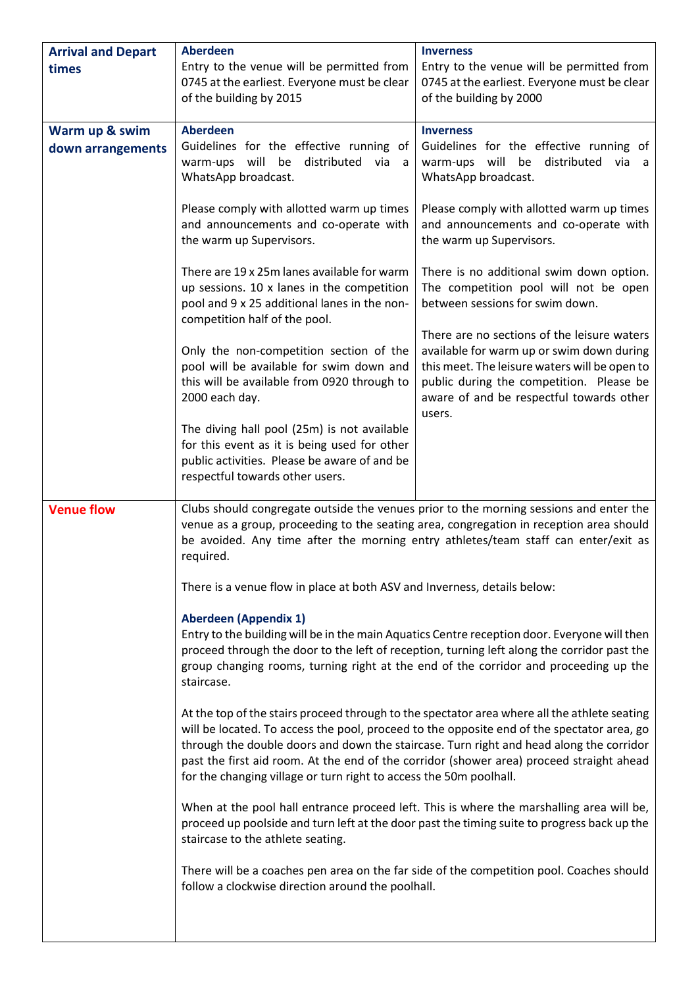| <b>Arrival and Depart</b> | <b>Aberdeen</b>                                                                                                                                                                                                                                                                                                                   | <b>Inverness</b>                                                                                                                                                                                                                                                                                                                                                                  |  |  |  |
|---------------------------|-----------------------------------------------------------------------------------------------------------------------------------------------------------------------------------------------------------------------------------------------------------------------------------------------------------------------------------|-----------------------------------------------------------------------------------------------------------------------------------------------------------------------------------------------------------------------------------------------------------------------------------------------------------------------------------------------------------------------------------|--|--|--|
| times                     | Entry to the venue will be permitted from<br>0745 at the earliest. Everyone must be clear<br>of the building by 2015                                                                                                                                                                                                              | Entry to the venue will be permitted from<br>0745 at the earliest. Everyone must be clear<br>of the building by 2000                                                                                                                                                                                                                                                              |  |  |  |
| Warm up & swim            | <b>Aberdeen</b>                                                                                                                                                                                                                                                                                                                   | <b>Inverness</b>                                                                                                                                                                                                                                                                                                                                                                  |  |  |  |
| down arrangements         | Guidelines for the effective running of<br>will be<br>distributed<br>warm-ups<br>via a<br>WhatsApp broadcast.                                                                                                                                                                                                                     | Guidelines for the effective running of<br>warm-ups will be distributed<br>via a<br>WhatsApp broadcast.                                                                                                                                                                                                                                                                           |  |  |  |
|                           | Please comply with allotted warm up times<br>and announcements and co-operate with<br>the warm up Supervisors.                                                                                                                                                                                                                    | Please comply with allotted warm up times<br>and announcements and co-operate with<br>the warm up Supervisors.                                                                                                                                                                                                                                                                    |  |  |  |
|                           | There are 19 x 25m lanes available for warm<br>up sessions. 10 x lanes in the competition<br>pool and 9 x 25 additional lanes in the non-<br>competition half of the pool.                                                                                                                                                        | There is no additional swim down option.<br>The competition pool will not be open<br>between sessions for swim down.                                                                                                                                                                                                                                                              |  |  |  |
|                           | Only the non-competition section of the<br>pool will be available for swim down and<br>this will be available from 0920 through to<br>2000 each day.                                                                                                                                                                              | There are no sections of the leisure waters<br>available for warm up or swim down during<br>this meet. The leisure waters will be open to<br>public during the competition. Please be<br>aware of and be respectful towards other<br>users.                                                                                                                                       |  |  |  |
|                           | The diving hall pool (25m) is not available<br>for this event as it is being used for other<br>public activities. Please be aware of and be<br>respectful towards other users.                                                                                                                                                    |                                                                                                                                                                                                                                                                                                                                                                                   |  |  |  |
| <b>Venue flow</b>         | Clubs should congregate outside the venues prior to the morning sessions and enter the<br>venue as a group, proceeding to the seating area, congregation in reception area should<br>be avoided. Any time after the morning entry athletes/team staff can enter/exit as<br>required.                                              |                                                                                                                                                                                                                                                                                                                                                                                   |  |  |  |
|                           | There is a venue flow in place at both ASV and Inverness, details below:                                                                                                                                                                                                                                                          |                                                                                                                                                                                                                                                                                                                                                                                   |  |  |  |
|                           | <b>Aberdeen (Appendix 1)</b><br>Entry to the building will be in the main Aquatics Centre reception door. Everyone will then<br>proceed through the door to the left of reception, turning left along the corridor past the<br>group changing rooms, turning right at the end of the corridor and proceeding up the<br>staircase. |                                                                                                                                                                                                                                                                                                                                                                                   |  |  |  |
|                           | for the changing village or turn right to access the 50m poolhall.                                                                                                                                                                                                                                                                | At the top of the stairs proceed through to the spectator area where all the athlete seating<br>will be located. To access the pool, proceed to the opposite end of the spectator area, go<br>through the double doors and down the staircase. Turn right and head along the corridor<br>past the first aid room. At the end of the corridor (shower area) proceed straight ahead |  |  |  |
|                           | staircase to the athlete seating.                                                                                                                                                                                                                                                                                                 | When at the pool hall entrance proceed left. This is where the marshalling area will be,<br>proceed up poolside and turn left at the door past the timing suite to progress back up the                                                                                                                                                                                           |  |  |  |
|                           | follow a clockwise direction around the poolhall.                                                                                                                                                                                                                                                                                 | There will be a coaches pen area on the far side of the competition pool. Coaches should                                                                                                                                                                                                                                                                                          |  |  |  |
|                           |                                                                                                                                                                                                                                                                                                                                   |                                                                                                                                                                                                                                                                                                                                                                                   |  |  |  |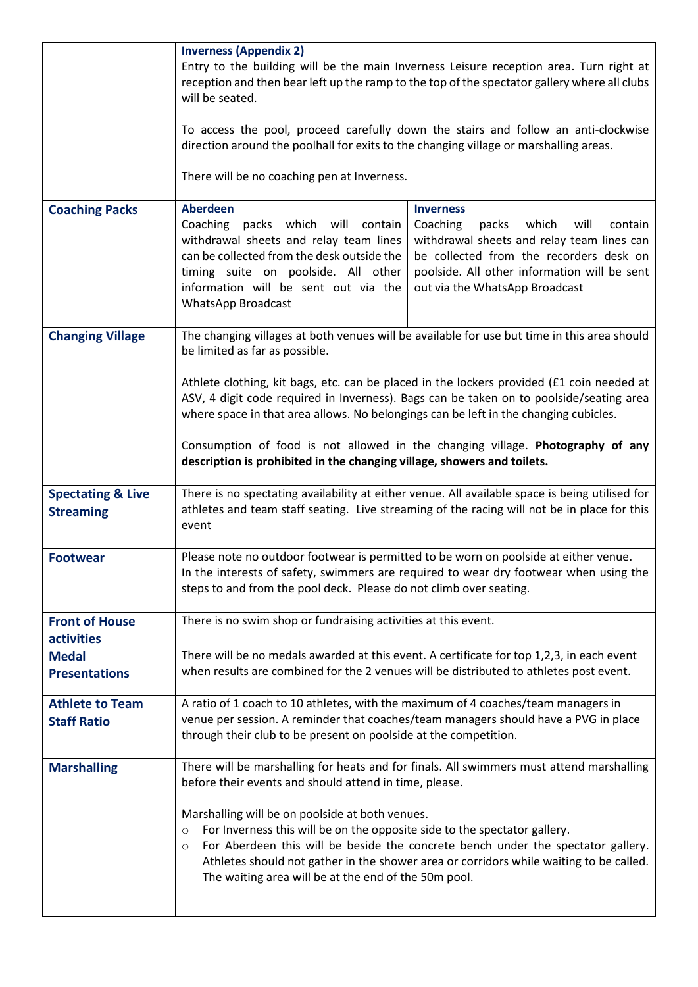|                                                  | <b>Inverness (Appendix 2)</b><br>Entry to the building will be the main Inverness Leisure reception area. Turn right at<br>reception and then bear left up the ramp to the top of the spectator gallery where all clubs<br>will be seated.<br>To access the pool, proceed carefully down the stairs and follow an anti-clockwise<br>direction around the poolhall for exits to the changing village or marshalling areas.<br>There will be no coaching pen at Inverness.                                                                                                   |                                                                                                                                                                                                                                                                        |  |
|--------------------------------------------------|----------------------------------------------------------------------------------------------------------------------------------------------------------------------------------------------------------------------------------------------------------------------------------------------------------------------------------------------------------------------------------------------------------------------------------------------------------------------------------------------------------------------------------------------------------------------------|------------------------------------------------------------------------------------------------------------------------------------------------------------------------------------------------------------------------------------------------------------------------|--|
| <b>Coaching Packs</b>                            | <b>Aberdeen</b><br>Coaching packs which will contain<br>withdrawal sheets and relay team lines<br>can be collected from the desk outside the<br>timing suite on poolside. All other<br>information will be sent out via the<br><b>WhatsApp Broadcast</b>                                                                                                                                                                                                                                                                                                                   | <b>Inverness</b><br>Coaching<br>packs<br>which<br>will<br>contain<br>withdrawal sheets and relay team lines can<br>be collected from the recorders desk on<br>poolside. All other information will be sent<br>out via the WhatsApp Broadcast                           |  |
| <b>Changing Village</b>                          | The changing villages at both venues will be available for use but time in this area should<br>be limited as far as possible.<br>Athlete clothing, kit bags, etc. can be placed in the lockers provided (£1 coin needed at<br>ASV, 4 digit code required in Inverness). Bags can be taken on to poolside/seating area<br>where space in that area allows. No belongings can be left in the changing cubicles.<br>Consumption of food is not allowed in the changing village. Photography of any<br>description is prohibited in the changing village, showers and toilets. |                                                                                                                                                                                                                                                                        |  |
| <b>Spectating &amp; Live</b><br><b>Streaming</b> | There is no spectating availability at either venue. All available space is being utilised for<br>athletes and team staff seating. Live streaming of the racing will not be in place for this<br>event                                                                                                                                                                                                                                                                                                                                                                     |                                                                                                                                                                                                                                                                        |  |
| <b>Footwear</b>                                  | Please note no outdoor footwear is permitted to be worn on poolside at either venue.<br>In the interests of safety, swimmers are required to wear dry footwear when using the<br>steps to and from the pool deck. Please do not climb over seating.                                                                                                                                                                                                                                                                                                                        |                                                                                                                                                                                                                                                                        |  |
| <b>Front of House</b><br>activities              | There is no swim shop or fundraising activities at this event.                                                                                                                                                                                                                                                                                                                                                                                                                                                                                                             |                                                                                                                                                                                                                                                                        |  |
| <b>Medal</b><br><b>Presentations</b>             | There will be no medals awarded at this event. A certificate for top 1,2,3, in each event<br>when results are combined for the 2 venues will be distributed to athletes post event.                                                                                                                                                                                                                                                                                                                                                                                        |                                                                                                                                                                                                                                                                        |  |
| <b>Athlete to Team</b><br><b>Staff Ratio</b>     | A ratio of 1 coach to 10 athletes, with the maximum of 4 coaches/team managers in<br>venue per session. A reminder that coaches/team managers should have a PVG in place<br>through their club to be present on poolside at the competition.                                                                                                                                                                                                                                                                                                                               |                                                                                                                                                                                                                                                                        |  |
| <b>Marshalling</b>                               | before their events and should attend in time, please.<br>Marshalling will be on poolside at both venues.<br>For Inverness this will be on the opposite side to the spectator gallery.<br>$\circ$<br>$\circ$<br>The waiting area will be at the end of the 50m pool.                                                                                                                                                                                                                                                                                                       | There will be marshalling for heats and for finals. All swimmers must attend marshalling<br>For Aberdeen this will be beside the concrete bench under the spectator gallery.<br>Athletes should not gather in the shower area or corridors while waiting to be called. |  |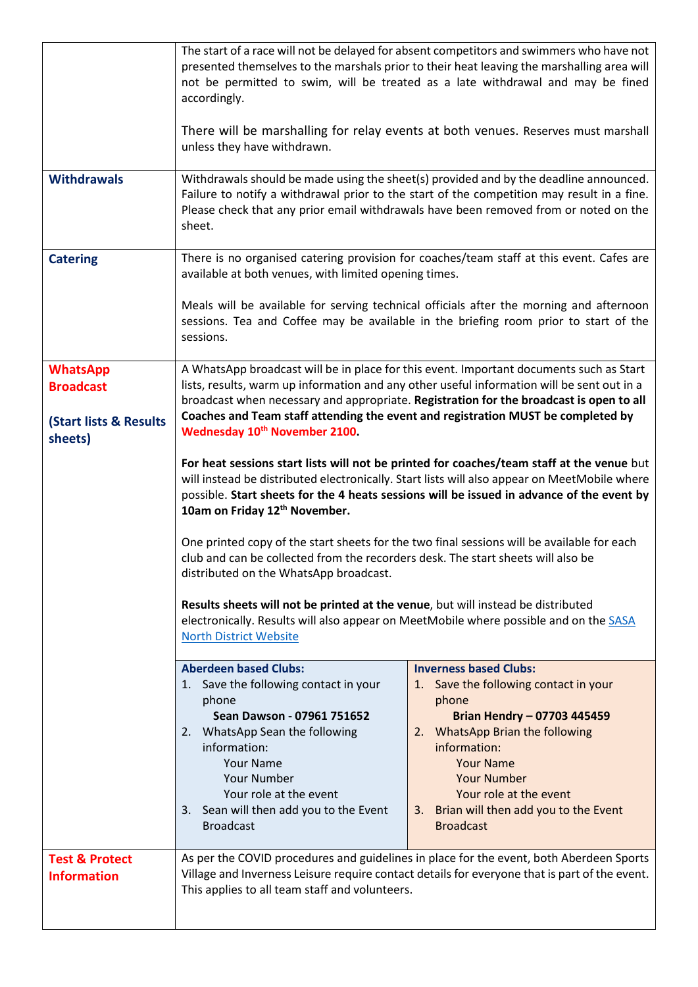|                                                 | The start of a race will not be delayed for absent competitors and swimmers who have not<br>presented themselves to the marshals prior to their heat leaving the marshalling area will<br>not be permitted to swim, will be treated as a late withdrawal and may be fined<br>accordingly.<br>There will be marshalling for relay events at both venues. Reserves must marshall |                                                                                                                                                                                          |  |  |
|-------------------------------------------------|--------------------------------------------------------------------------------------------------------------------------------------------------------------------------------------------------------------------------------------------------------------------------------------------------------------------------------------------------------------------------------|------------------------------------------------------------------------------------------------------------------------------------------------------------------------------------------|--|--|
|                                                 | unless they have withdrawn.                                                                                                                                                                                                                                                                                                                                                    |                                                                                                                                                                                          |  |  |
| <b>Withdrawals</b>                              | Withdrawals should be made using the sheet(s) provided and by the deadline announced.<br>Failure to notify a withdrawal prior to the start of the competition may result in a fine.<br>Please check that any prior email withdrawals have been removed from or noted on the<br>sheet.                                                                                          |                                                                                                                                                                                          |  |  |
| <b>Catering</b>                                 | There is no organised catering provision for coaches/team staff at this event. Cafes are<br>available at both venues, with limited opening times.                                                                                                                                                                                                                              |                                                                                                                                                                                          |  |  |
|                                                 | Meals will be available for serving technical officials after the morning and afternoon<br>sessions. Tea and Coffee may be available in the briefing room prior to start of the<br>sessions.                                                                                                                                                                                   |                                                                                                                                                                                          |  |  |
| <b>WhatsApp</b><br><b>Broadcast</b>             | A WhatsApp broadcast will be in place for this event. Important documents such as Start                                                                                                                                                                                                                                                                                        |                                                                                                                                                                                          |  |  |
|                                                 | lists, results, warm up information and any other useful information will be sent out in a<br>broadcast when necessary and appropriate. Registration for the broadcast is open to all                                                                                                                                                                                          |                                                                                                                                                                                          |  |  |
| <b>(Start lists &amp; Results</b><br>sheets)    | Coaches and Team staff attending the event and registration MUST be completed by<br>Wednesday 10 <sup>th</sup> November 2100.                                                                                                                                                                                                                                                  |                                                                                                                                                                                          |  |  |
|                                                 | For heat sessions start lists will not be printed for coaches/team staff at the venue but<br>will instead be distributed electronically. Start lists will also appear on MeetMobile where<br>possible. Start sheets for the 4 heats sessions will be issued in advance of the event by<br>10am on Friday 12th November.                                                        |                                                                                                                                                                                          |  |  |
|                                                 | One printed copy of the start sheets for the two final sessions will be available for each<br>club and can be collected from the recorders desk. The start sheets will also be<br>distributed on the WhatsApp broadcast.                                                                                                                                                       |                                                                                                                                                                                          |  |  |
|                                                 | Results sheets will not be printed at the venue, but will instead be distributed<br>electronically. Results will also appear on MeetMobile where possible and on the SASA<br><b>North District Website</b>                                                                                                                                                                     |                                                                                                                                                                                          |  |  |
|                                                 | <b>Aberdeen based Clubs:</b><br>1. Save the following contact in your                                                                                                                                                                                                                                                                                                          | <b>Inverness based Clubs:</b><br>1. Save the following contact in your                                                                                                                   |  |  |
|                                                 | phone                                                                                                                                                                                                                                                                                                                                                                          | phone                                                                                                                                                                                    |  |  |
|                                                 | Sean Dawson - 07961 751652<br>2. WhatsApp Sean the following                                                                                                                                                                                                                                                                                                                   | <b>Brian Hendry - 07703 445459</b><br>2. WhatsApp Brian the following                                                                                                                    |  |  |
|                                                 | information:<br><b>Your Name</b>                                                                                                                                                                                                                                                                                                                                               | information:<br><b>Your Name</b>                                                                                                                                                         |  |  |
|                                                 | Your Number                                                                                                                                                                                                                                                                                                                                                                    | <b>Your Number</b>                                                                                                                                                                       |  |  |
|                                                 | Your role at the event<br>3. Sean will then add you to the Event<br><b>Broadcast</b>                                                                                                                                                                                                                                                                                           | Your role at the event<br>Brian will then add you to the Event<br>3.<br><b>Broadcast</b>                                                                                                 |  |  |
| <b>Test &amp; Protect</b><br><b>Information</b> | This applies to all team staff and volunteers.                                                                                                                                                                                                                                                                                                                                 | As per the COVID procedures and guidelines in place for the event, both Aberdeen Sports<br>Village and Inverness Leisure require contact details for everyone that is part of the event. |  |  |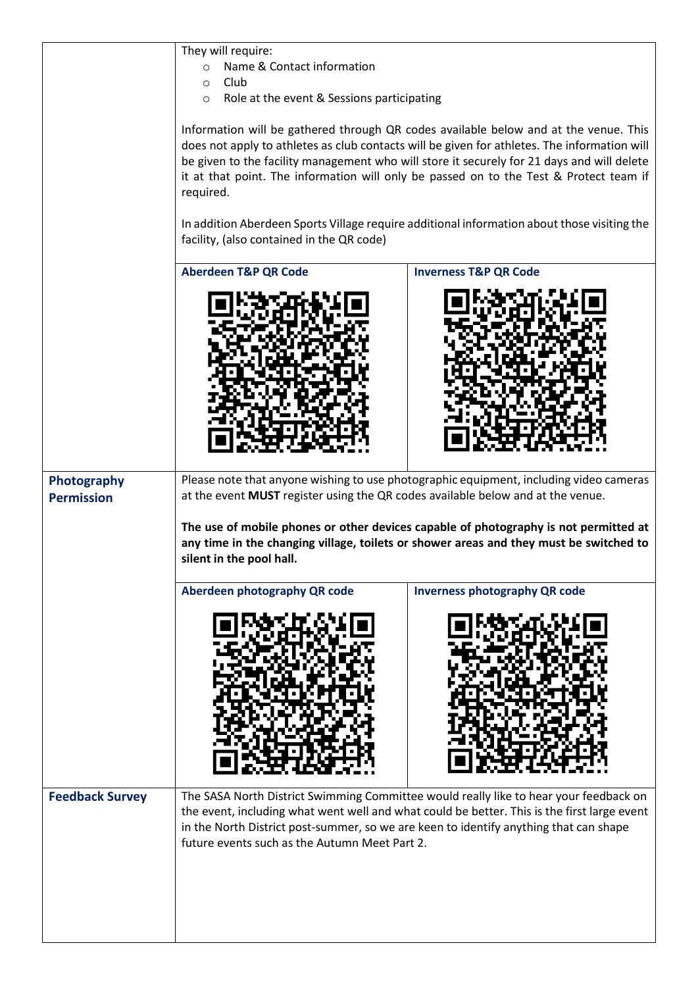|                        | They will require:<br>Name & Contact information                                                                                                                                                                                                |                                                                                              |  |  |
|------------------------|-------------------------------------------------------------------------------------------------------------------------------------------------------------------------------------------------------------------------------------------------|----------------------------------------------------------------------------------------------|--|--|
|                        | $\circ$<br>Club                                                                                                                                                                                                                                 |                                                                                              |  |  |
|                        | $\circ$<br>Role at the event & Sessions participating<br>$\circ$                                                                                                                                                                                |                                                                                              |  |  |
|                        |                                                                                                                                                                                                                                                 |                                                                                              |  |  |
|                        |                                                                                                                                                                                                                                                 | Information will be gathered through QR codes available below and at the venue. This         |  |  |
|                        |                                                                                                                                                                                                                                                 | does not apply to athletes as club contacts will be given for athletes. The information will |  |  |
|                        |                                                                                                                                                                                                                                                 | be given to the facility management who will store it securely for 21 days and will delete   |  |  |
|                        | it at that point. The information will only be passed on to the Test & Protect team if<br>required.<br>In addition Aberdeen Sports Village require additional information about those visiting the<br>facility, (also contained in the QR code) |                                                                                              |  |  |
|                        |                                                                                                                                                                                                                                                 |                                                                                              |  |  |
|                        |                                                                                                                                                                                                                                                 |                                                                                              |  |  |
|                        |                                                                                                                                                                                                                                                 |                                                                                              |  |  |
|                        |                                                                                                                                                                                                                                                 |                                                                                              |  |  |
|                        | <b>Aberdeen T&amp;P QR Code</b><br><b>Inverness T&amp;P QR Code</b>                                                                                                                                                                             |                                                                                              |  |  |
|                        |                                                                                                                                                                                                                                                 |                                                                                              |  |  |
|                        |                                                                                                                                                                                                                                                 |                                                                                              |  |  |
|                        |                                                                                                                                                                                                                                                 |                                                                                              |  |  |
|                        |                                                                                                                                                                                                                                                 |                                                                                              |  |  |
|                        |                                                                                                                                                                                                                                                 |                                                                                              |  |  |
|                        |                                                                                                                                                                                                                                                 |                                                                                              |  |  |
|                        |                                                                                                                                                                                                                                                 |                                                                                              |  |  |
|                        |                                                                                                                                                                                                                                                 |                                                                                              |  |  |
|                        |                                                                                                                                                                                                                                                 |                                                                                              |  |  |
|                        |                                                                                                                                                                                                                                                 |                                                                                              |  |  |
|                        |                                                                                                                                                                                                                                                 |                                                                                              |  |  |
|                        |                                                                                                                                                                                                                                                 |                                                                                              |  |  |
| Photography            |                                                                                                                                                                                                                                                 | Please note that anyone wishing to use photographic equipment, including video cameras       |  |  |
| <b>Permission</b>      | at the event MUST register using the QR codes available below and at the venue.                                                                                                                                                                 |                                                                                              |  |  |
|                        |                                                                                                                                                                                                                                                 | The use of mobile phones or other devices capable of photography is not permitted at         |  |  |
|                        |                                                                                                                                                                                                                                                 | any time in the changing village, toilets or shower areas and they must be switched to       |  |  |
|                        | silent in the pool hall.                                                                                                                                                                                                                        |                                                                                              |  |  |
|                        |                                                                                                                                                                                                                                                 |                                                                                              |  |  |
|                        | Aberdeen photography QR code                                                                                                                                                                                                                    | <b>Inverness photography QR code</b>                                                         |  |  |
|                        |                                                                                                                                                                                                                                                 |                                                                                              |  |  |
|                        |                                                                                                                                                                                                                                                 |                                                                                              |  |  |
|                        |                                                                                                                                                                                                                                                 |                                                                                              |  |  |
|                        |                                                                                                                                                                                                                                                 |                                                                                              |  |  |
|                        |                                                                                                                                                                                                                                                 |                                                                                              |  |  |
|                        |                                                                                                                                                                                                                                                 |                                                                                              |  |  |
|                        |                                                                                                                                                                                                                                                 |                                                                                              |  |  |
|                        |                                                                                                                                                                                                                                                 |                                                                                              |  |  |
|                        |                                                                                                                                                                                                                                                 |                                                                                              |  |  |
|                        |                                                                                                                                                                                                                                                 |                                                                                              |  |  |
|                        |                                                                                                                                                                                                                                                 |                                                                                              |  |  |
| <b>Feedback Survey</b> |                                                                                                                                                                                                                                                 | The SASA North District Swimming Committee would really like to hear your feedback on        |  |  |
|                        |                                                                                                                                                                                                                                                 | the event, including what went well and what could be better. This is the first large event  |  |  |
|                        | in the North District post-summer, so we are keen to identify anything that can shape<br>future events such as the Autumn Meet Part 2.                                                                                                          |                                                                                              |  |  |
|                        |                                                                                                                                                                                                                                                 |                                                                                              |  |  |
|                        |                                                                                                                                                                                                                                                 |                                                                                              |  |  |
|                        |                                                                                                                                                                                                                                                 |                                                                                              |  |  |
|                        |                                                                                                                                                                                                                                                 |                                                                                              |  |  |
|                        |                                                                                                                                                                                                                                                 |                                                                                              |  |  |
|                        |                                                                                                                                                                                                                                                 |                                                                                              |  |  |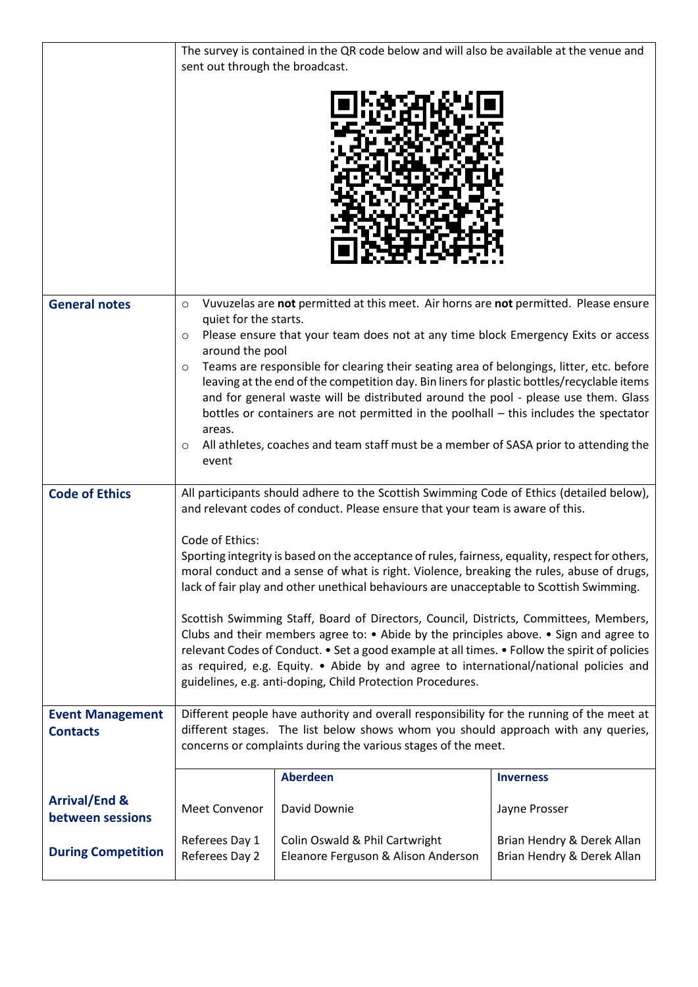|                                              | The survey is contained in the QR code below and will also be available at the venue and<br>sent out through the broadcast.                                                                                                                                                                                                                                                                                                                             |                                                                                                                                                                           |                                                          |  |
|----------------------------------------------|---------------------------------------------------------------------------------------------------------------------------------------------------------------------------------------------------------------------------------------------------------------------------------------------------------------------------------------------------------------------------------------------------------------------------------------------------------|---------------------------------------------------------------------------------------------------------------------------------------------------------------------------|----------------------------------------------------------|--|
|                                              |                                                                                                                                                                                                                                                                                                                                                                                                                                                         |                                                                                                                                                                           |                                                          |  |
| <b>General notes</b>                         | $\circ$<br>quiet for the starts.                                                                                                                                                                                                                                                                                                                                                                                                                        | Vuvuzelas are not permitted at this meet. Air horns are not permitted. Please ensure                                                                                      |                                                          |  |
|                                              | Please ensure that your team does not at any time block Emergency Exits or access<br>$\circ$<br>around the pool                                                                                                                                                                                                                                                                                                                                         |                                                                                                                                                                           |                                                          |  |
|                                              | Teams are responsible for clearing their seating area of belongings, litter, etc. before<br>$\circ$<br>leaving at the end of the competition day. Bin liners for plastic bottles/recyclable items                                                                                                                                                                                                                                                       |                                                                                                                                                                           |                                                          |  |
|                                              | and for general waste will be distributed around the pool - please use them. Glass<br>bottles or containers are not permitted in the poolhall – this includes the spectator                                                                                                                                                                                                                                                                             |                                                                                                                                                                           |                                                          |  |
|                                              | areas.<br>All athletes, coaches and team staff must be a member of SASA prior to attending the<br>O                                                                                                                                                                                                                                                                                                                                                     |                                                                                                                                                                           |                                                          |  |
|                                              | event                                                                                                                                                                                                                                                                                                                                                                                                                                                   |                                                                                                                                                                           |                                                          |  |
| <b>Code of Ethics</b>                        |                                                                                                                                                                                                                                                                                                                                                                                                                                                         | All participants should adhere to the Scottish Swimming Code of Ethics (detailed below),<br>and relevant codes of conduct. Please ensure that your team is aware of this. |                                                          |  |
|                                              | Code of Ethics:<br>Sporting integrity is based on the acceptance of rules, fairness, equality, respect for others,<br>moral conduct and a sense of what is right. Violence, breaking the rules, abuse of drugs,<br>lack of fair play and other unethical behaviours are unacceptable to Scottish Swimming.                                                                                                                                              |                                                                                                                                                                           |                                                          |  |
|                                              | Scottish Swimming Staff, Board of Directors, Council, Districts, Committees, Members,<br>Clubs and their members agree to: $\bullet$ Abide by the principles above. $\bullet$ Sign and agree to<br>relevant Codes of Conduct. • Set a good example at all times. • Follow the spirit of policies<br>as required, e.g. Equity. • Abide by and agree to international/national policies and<br>guidelines, e.g. anti-doping, Child Protection Procedures. |                                                                                                                                                                           |                                                          |  |
| <b>Event Management</b><br><b>Contacts</b>   | Different people have authority and overall responsibility for the running of the meet at<br>different stages. The list below shows whom you should approach with any queries,<br>concerns or complaints during the various stages of the meet.                                                                                                                                                                                                         |                                                                                                                                                                           |                                                          |  |
|                                              | <b>Aberdeen</b><br><b>Inverness</b>                                                                                                                                                                                                                                                                                                                                                                                                                     |                                                                                                                                                                           |                                                          |  |
| <b>Arrival/End &amp;</b><br>between sessions | <b>Meet Convenor</b>                                                                                                                                                                                                                                                                                                                                                                                                                                    | David Downie                                                                                                                                                              | Jayne Prosser                                            |  |
| <b>During Competition</b>                    | Referees Day 1<br>Referees Day 2                                                                                                                                                                                                                                                                                                                                                                                                                        | Colin Oswald & Phil Cartwright<br>Eleanore Ferguson & Alison Anderson                                                                                                     | Brian Hendry & Derek Allan<br>Brian Hendry & Derek Allan |  |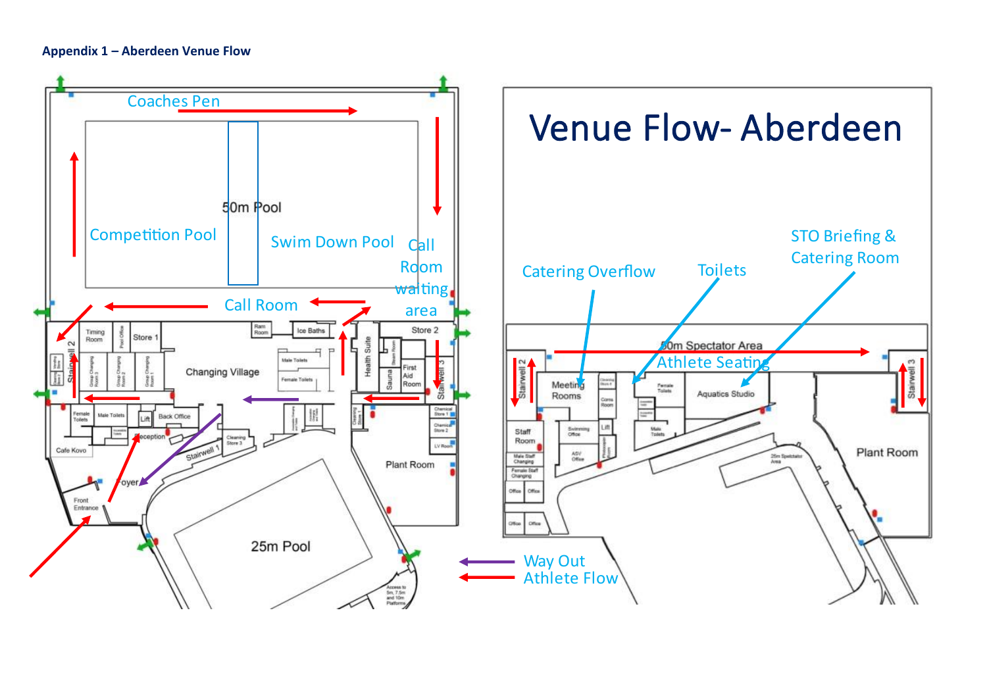